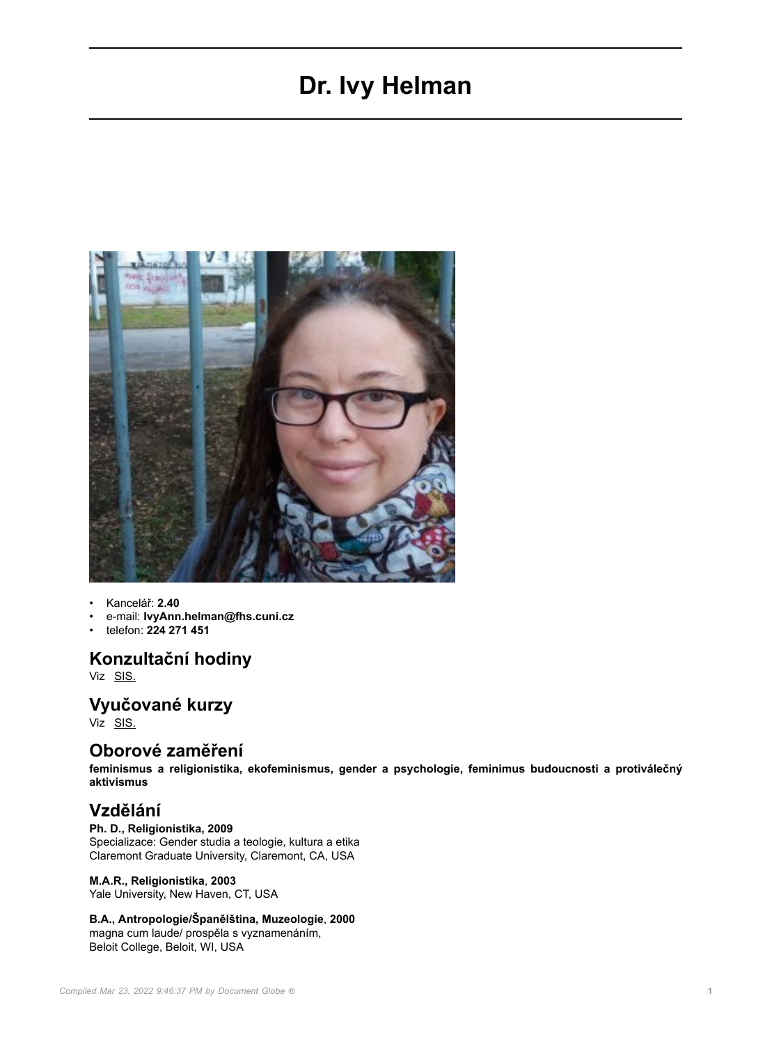# **Dr. Ivy Helman**



- Kancelář: **2.40**
- e-mail: **IvyAnn.helman@fhs.cuni.cz**
- telefon: **224 271 451**

### **Konzultační hodiny**

Viz [SIS.](https://is.cuni.cz/studium/kdojekdo/index.php?id=6b820b89c4cc17ab6918c2dec1002d87&tid=1&do=detailuc&kuc=50767)

### **Vyučované kurzy**

Viz <u>[SIS.](https://is.cuni.cz/studium/predmety/index.php?id=6b820b89c4cc17ab6918c2dec1002d87&tid=1&do=search&nazev=&kod=&match=substring&srch_nazev=0&srch_nazev=1&fak=11240&ustav=&sekce=&trida=&klas=&ujmeno=helman&utyp=3&pvyjazyk=&sem=&pocet=20&moje=-1&b=Hledej)</u>

### **Oborové zaměření**

**feminismus a religionistika, ekofeminismus, gender a psychologie, feminimus budoucnosti a protiválečný aktivismus**

## **Vzdělání**

### **Ph. D., Religionistika, 2009**

Specializace: Gender studia a teologie, kultura a etika Claremont Graduate University, Claremont, CA, USA

#### **M.A.R., Religionistika**, **2003**

Yale University, New Haven, CT, USA

#### **B.A., Antropologie/Španělština, Muzeologie**, **2000**

magna cum laude/ prospěla s vyznamenáním, Beloit College, Beloit, WI, USA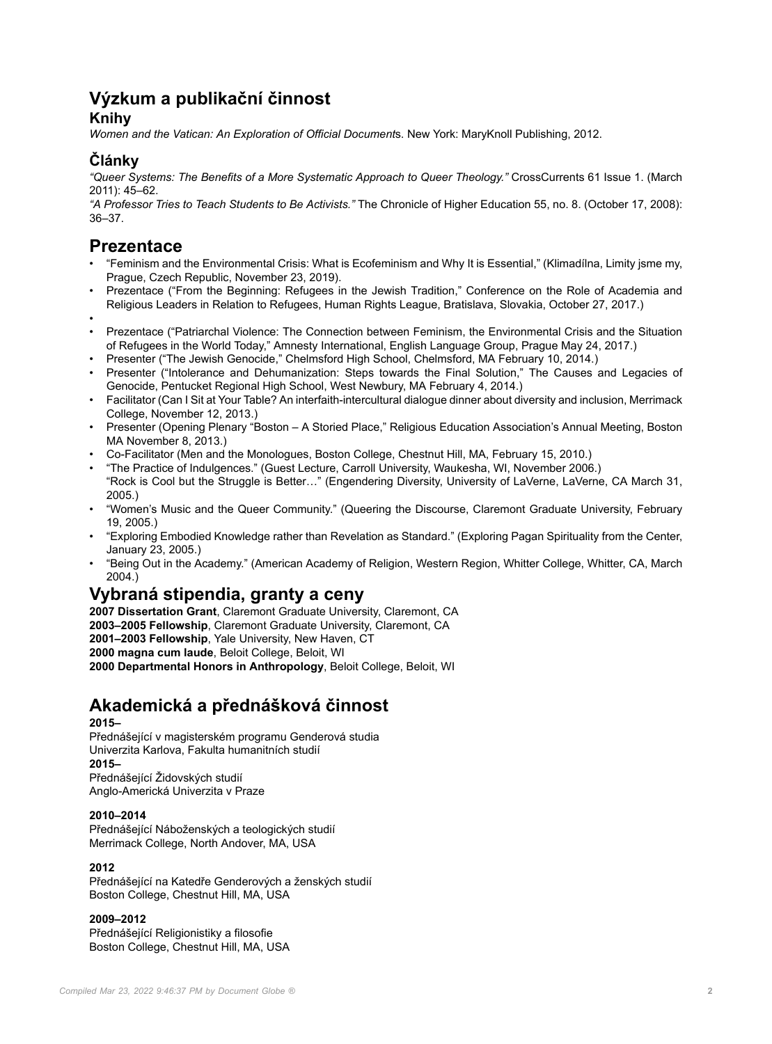# **Výzkum a publikační činnost**

### **Knihy**

*Women and the Vatican: An Exploration of Official Document*s. New York: MaryKnoll Publishing, 2012.

# **Články**

*"Queer Systems: The Benefits of a More Systematic Approach to Queer Theology."* CrossCurrents 61 Issue 1. (March 2011): 45–62.

*"A Professor Tries to Teach Students to Be Activists."* The Chronicle of Higher Education 55, no. 8. (October 17, 2008): 36–37.

# **Prezentace**

- "Feminism and the Environmental Crisis: What is Ecofeminism and Why It is Essential," (Klimadílna, Limity jsme my, Prague, Czech Republic, November 23, 2019).
- Prezentace ("From the Beginning: Refugees in the Jewish Tradition," Conference on the Role of Academia and Religious Leaders in Relation to Refugees, Human Rights League, Bratislava, Slovakia, October 27, 2017.)
- •
- Prezentace ("Patriarchal Violence: The Connection between Feminism, the Environmental Crisis and the Situation of Refugees in the World Today," Amnesty International, English Language Group, Prague May 24, 2017.)
- Presenter ("The Jewish Genocide," Chelmsford High School, Chelmsford, MA February 10, 2014.)
- Presenter ("Intolerance and Dehumanization: Steps towards the Final Solution," The Causes and Legacies of Genocide, Pentucket Regional High School, West Newbury, MA February 4, 2014.)
- Facilitator (Can I Sit at Your Table? An interfaith-intercultural dialogue dinner about diversity and inclusion, Merrimack College, November 12, 2013.)
- Presenter (Opening Plenary "Boston A Storied Place," Religious Education Association's Annual Meeting, Boston MA November 8, 2013.)
- Co-Facilitator (Men and the Monologues, Boston College, Chestnut Hill, MA, February 15, 2010.)
- "The Practice of Indulgences." (Guest Lecture, Carroll University, Waukesha, WI, November 2006.) "Rock is Cool but the Struggle is Better…" (Engendering Diversity, University of LaVerne, LaVerne, CA March 31, 2005.)
- "Women's Music and the Queer Community." (Queering the Discourse, Claremont Graduate University, February 19, 2005.)
- "Exploring Embodied Knowledge rather than Revelation as Standard." (Exploring Pagan Spirituality from the Center, January 23, 2005.)
- "Being Out in the Academy." (American Academy of Religion, Western Region, Whitter College, Whitter, CA, March 2004.)

# **Vybraná stipendia, granty a ceny**

**2007 Dissertation Grant**, Claremont Graduate University, Claremont, CA **2003–2005 Fellowship**, Claremont Graduate University, Claremont, CA **2001–2003 Fellowship**, Yale University, New Haven, CT **2000 magna cum laude**, Beloit College, Beloit, WI **2000 Departmental Honors in Anthropology**, Beloit College, Beloit, WI

# **Akademická a přednášková činnost**

### **2015–**

Přednášející v magisterském programu Genderová studia Univerzita Karlova, Fakulta humanitních studií **2015–** Přednášející Židovských studií

Anglo-Americká Univerzita v Praze

### **2010–2014**

Přednášející Náboženských a teologických studií Merrimack College, North Andover, MA, USA

### **2012**

Přednášející na Katedře Genderových a ženských studií Boston College, Chestnut Hill, MA, USA

### **2009–2012**

Přednášející Religionistiky a filosofie Boston College, Chestnut Hill, MA, USA